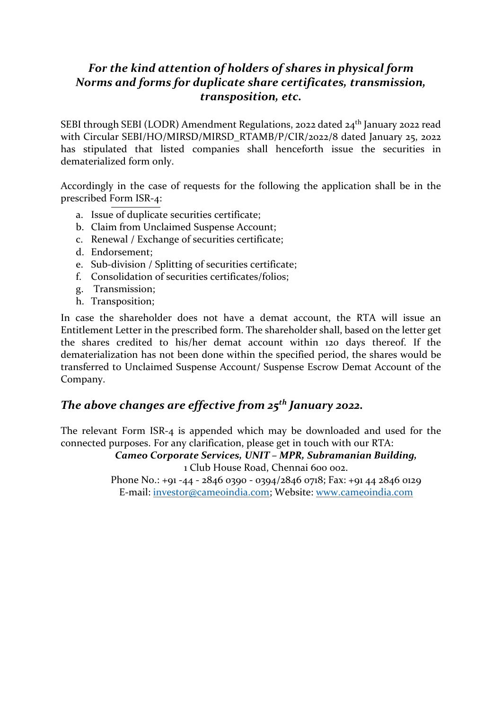# *For the kind attention of holders of shares in physical form Norms and forms for duplicate share certificates, transmission, transposition, etc.*

SEBI through SEBI (LODR) Amendment Regulations, 2022 dated 24<sup>th</sup> January 2022 read with Circular SEBI/HO/MIRSD/MIRSD\_RTAMB/P/CIR/2022/8 dated January 25, 2022 has stipulated that listed companies shall henceforth issue the securities in dematerialized form only.

Accordingly in the case of requests for the following the application shall be in the prescribed [Form ISR-4:](#page-1-0)

- a. Issue of duplicate securities certificate;
- b. Claim from Unclaimed Suspense Account;
- c. Renewal / Exchange of securities certificate;
- d. Endorsement;
- e. Sub-division / Splitting of securities certificate;
- f. Consolidation of securities certificates/folios;
- g. Transmission;
- h. Transposition;

In case the shareholder does not have a demat account, the RTA will issue an Entitlement Letter in the prescribed form. The shareholder shall, based on the letter get the shares credited to his/her demat account within 120 days thereof. If the dematerialization has not been done within the specified period, the shares would be transferred to Unclaimed Suspense Account/ Suspense Escrow Demat Account of the Company.

# *The above changes are effective from 25th January 2022.*

The relevant Form ISR-4 is appended which may be downloaded and used for the connected purposes. For any clarification, please get in touch with our RTA:

> *Cameo Corporate Services, UNIT – MPR, Subramanian Building,* 1 Club House Road, Chennai 600 002.

Phone No.: +91 -44 - 2846 0390 - 0394/2846 0718; Fax: +91 44 2846 0129 E-mail: [investor@cameoindia.com;](mailto:investor@cameoindia.com) Website: [www.cameoindia.com](http://www.cameoindia.com/)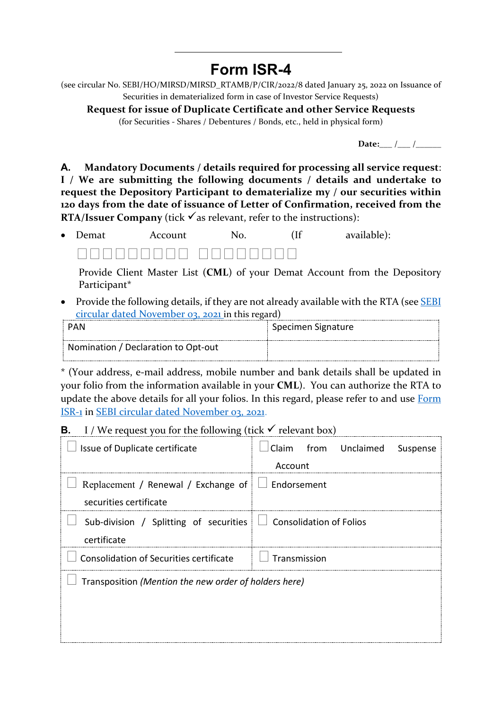# **Form ISR-4**

<span id="page-1-0"></span>(see circular No. SEBI/HO/MIRSD/MIRSD\_RTAMB/P/CIR/2022/8 dated January 25, 2022 on Issuance of Securities in dematerialized form in case of Investor Service Requests)

**Request for issue of Duplicate Certificate and other Service Requests**

(for Securities - Shares / Debentures / Bonds, etc., held in physical form)

**Date:** / /

**A. Mandatory Documents / details required for processing all service request**: **I / We are submitting the following documents / details and undertake to request the Depository Participant to dematerialize my / our securities within 120 days from the date of issuance of Letter of Confirmation, received from the RTA/Issuer Company** (tick  $\checkmark$  as relevant, refer to the instructions):

- Demat Account No. (If available):
	- ��������� ��������

Provide Client Master List (**CML**) of your Demat Account from the Depository Participant\*

• Provide the following details, if they are not already available with the RTA (see **SEBI** [circular dated November 03, 2021](https://www.sebi.gov.in/legal/circulars/nov-2021/common-and-simplified-norms-for-processing-investor-s-service-request-by-rtas-and-norms-for-furnishing-pan-kyc-details-and-nomination_53787.html) in this regard)

| <b>PAN</b>                          | Specimen Signature |
|-------------------------------------|--------------------|
| Nomination / Declaration to Opt-out |                    |

\* (Your address, e-mail address, mobile number and bank details shall be updated in your folio from the information available in your **CML**). You can authorize the RTA to update the above details for all your folios. In this regard, please refer to and use Form [ISR-1](https://www.sebi.gov.in/sebi_data/commondocs/dec-2021/pdf%20Form%20ISR-1%20(1)_p.pdf) in [SEBI circular dated November 03, 2021.](https://www.sebi.gov.in/legal/circulars/nov-2021/common-and-simplified-norms-for-processing-investor-s-service-request-by-rtas-and-norms-for-furnishing-pan-kyc-details-and-nomination_53787.html)

## **B.** I / We request you for the following (tick  $\checkmark$  relevant box)

| Issue of Duplicate certificate                                                       | Claim from Unclaimed<br>Suspense<br>Account |  |  |
|--------------------------------------------------------------------------------------|---------------------------------------------|--|--|
| Replacement / Renewal / Exchange of<br>securities certificate                        | Endorsement<br>$\mathbf{1}$                 |  |  |
| Sub-division / Splitting of securities $\Box$ Consolidation of Folios<br>certificate |                                             |  |  |
| Consolidation of Securities certificate                                              | Transmission<br>$\mathbf{I}$                |  |  |
| Transposition (Mention the new order of holders here)                                |                                             |  |  |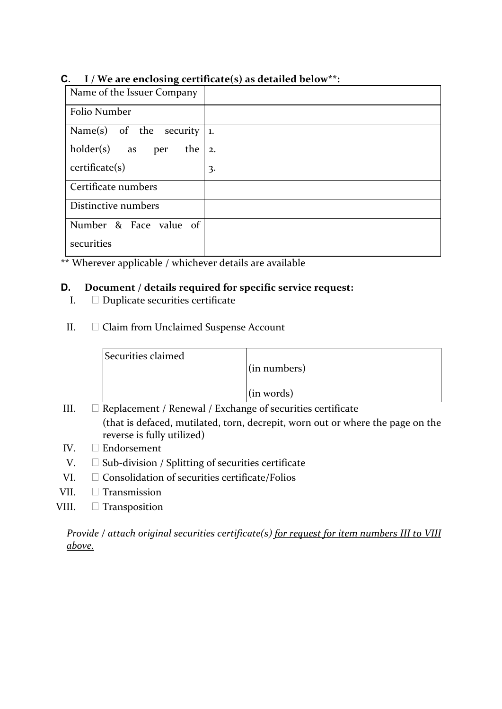| Name of the Issuer Company   |    |
|------------------------------|----|
| Folio Number                 |    |
| Name $(s)$ of the security   | 1. |
| $holder(s)$ as<br>the<br>per | 2. |
| $c$ ertificate $(s)$         | 3. |
| Certificate numbers          |    |
| Distinctive numbers          |    |
| Number & Face value of       |    |
| securities                   |    |

### **C. I / We are enclosing certificate(s) as detailed below\*\*:**

\*\* Wherever applicable / whichever details are available

### **D. Document / details required for specific service request:**

- I.  $\Box$  Duplicate securities certificate
- II.  $\Box$  Claim from Unclaimed Suspense Account

| Securities claimed |              |
|--------------------|--------------|
|                    | (in numbers) |
|                    |              |
|                    | (in words)   |

- III.  $\Box$  Replacement / Renewal / Exchange of securities certificate (that is defaced, mutilated, torn, decrepit, worn out or where the page on the reverse is fully utilized)
- IV. **Endorsement**
- V.  $\Box$  Sub-division / Splitting of securities certificate
- VI.  $\Box$  Consolidation of securities certificate/Folios
- VII.  $\Box$  Transmission
- VIII. **D** Transposition

*Provide / attach original securities certificate(s) for request for item numbers III to VIII above.*